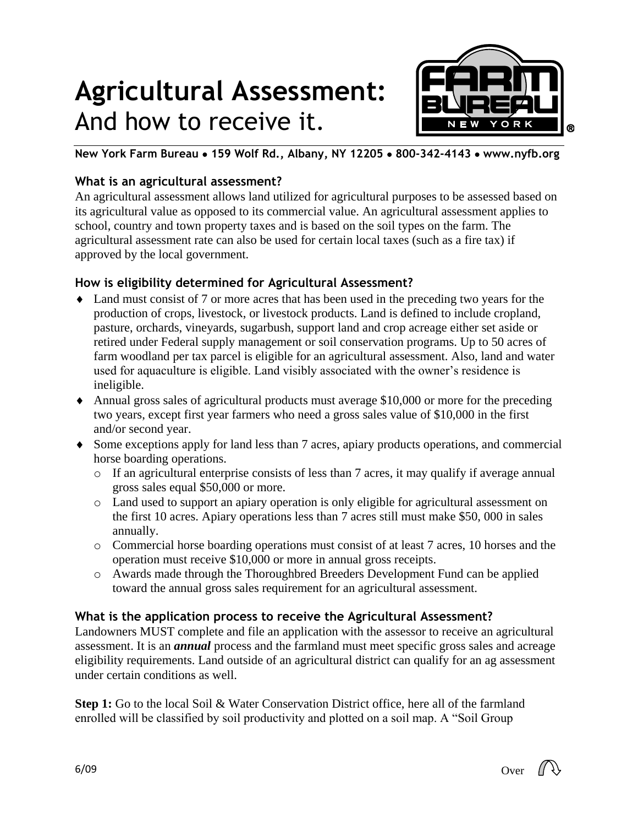# **Agricultural Assessment:** And how to receive it.



**New York Farm Bureau 159 Wolf Rd., Albany, NY 12205 800-342-4143 www.nyfb.org**

# **What is an agricultural assessment?**

An agricultural assessment allows land utilized for agricultural purposes to be assessed based on its agricultural value as opposed to its commercial value. An agricultural assessment applies to school, country and town property taxes and is based on the soil types on the farm. The agricultural assessment rate can also be used for certain local taxes (such as a fire tax) if approved by the local government.

# **How is eligibility determined for Agricultural Assessment?**

- Land must consist of 7 or more acres that has been used in the preceding two years for the production of crops, livestock, or livestock products. Land is defined to include cropland, pasture, orchards, vineyards, sugarbush, support land and crop acreage either set aside or retired under Federal supply management or soil conservation programs. Up to 50 acres of farm woodland per tax parcel is eligible for an agricultural assessment. Also, land and water used for aquaculture is eligible. Land visibly associated with the owner's residence is ineligible.
- Annual gross sales of agricultural products must average \$10,000 or more for the preceding two years, except first year farmers who need a gross sales value of \$10,000 in the first and/or second year.
- Some exceptions apply for land less than 7 acres, apiary products operations, and commercial horse boarding operations.
	- $\circ$  If an agricultural enterprise consists of less than 7 acres, it may qualify if average annual gross sales equal \$50,000 or more.
	- o Land used to support an apiary operation is only eligible for agricultural assessment on the first 10 acres. Apiary operations less than 7 acres still must make \$50, 000 in sales annually.
	- o Commercial horse boarding operations must consist of at least 7 acres, 10 horses and the operation must receive \$10,000 or more in annual gross receipts.
	- o Awards made through the Thoroughbred Breeders Development Fund can be applied toward the annual gross sales requirement for an agricultural assessment.

# **What is the application process to receive the Agricultural Assessment?**

Landowners MUST complete and file an application with the assessor to receive an agricultural assessment. It is an *annual* process and the farmland must meet specific gross sales and acreage eligibility requirements. Land outside of an agricultural district can qualify for an ag assessment under certain conditions as well.

**Step 1:** Go to the local Soil & Water Conservation District office, here all of the farmland enrolled will be classified by soil productivity and plotted on a soil map. A "Soil Group